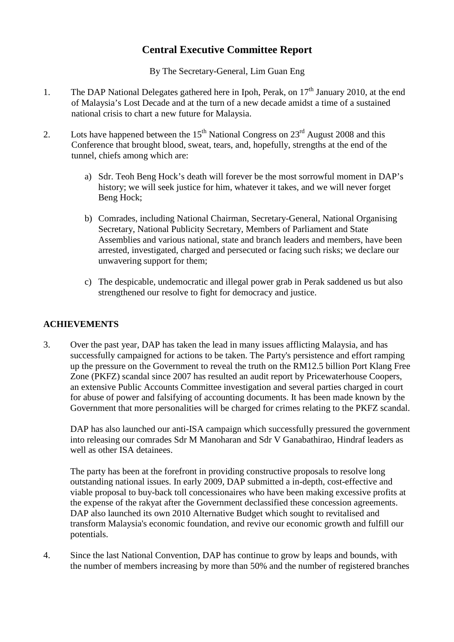# **Central Executive Committee Report**

By The Secretary-General, Lim Guan Eng

- 1. The DAP National Delegates gathered here in Ipoh, Perak, on  $17<sup>th</sup>$  January 2010, at the end of Malaysia's Lost Decade and at the turn of a new decade amidst a time of a sustained national crisis to chart a new future for Malaysia.
- 2. Lots have happened between the  $15<sup>th</sup>$  National Congress on  $23<sup>rd</sup>$  August 2008 and this Conference that brought blood, sweat, tears, and, hopefully, strengths at the end of the tunnel, chiefs among which are:
	- a) Sdr. Teoh Beng Hock's death will forever be the most sorrowful moment in DAP's history; we will seek justice for him, whatever it takes, and we will never forget Beng Hock;
	- b) Comrades, including National Chairman, Secretary-General, National Organising Secretary, National Publicity Secretary, Members of Parliament and State Assemblies and various national, state and branch leaders and members, have been arrested, investigated, charged and persecuted or facing such risks; we declare our unwavering support for them;
	- c) The despicable, undemocratic and illegal power grab in Perak saddened us but also strengthened our resolve to fight for democracy and justice.

#### **ACHIEVEMENTS**

3. Over the past year, DAP has taken the lead in many issues afflicting Malaysia, and has successfully campaigned for actions to be taken. The Party's persistence and effort ramping up the pressure on the Government to reveal the truth on the RM12.5 billion Port Klang Free Zone (PKFZ) scandal since 2007 has resulted an audit report by Pricewaterhouse Coopers, an extensive Public Accounts Committee investigation and several parties charged in court for abuse of power and falsifying of accounting documents. It has been made known by the Government that more personalities will be charged for crimes relating to the PKFZ scandal.

DAP has also launched our anti-ISA campaign which successfully pressured the government into releasing our comrades Sdr M Manoharan and Sdr V Ganabathirao, Hindraf leaders as well as other ISA detainees.

The party has been at the forefront in providing constructive proposals to resolve long outstanding national issues. In early 2009, DAP submitted a in-depth, cost-effective and viable proposal to buy-back toll concessionaires who have been making excessive profits at the expense of the rakyat after the Government declassified these concession agreements. DAP also launched its own 2010 Alternative Budget which sought to revitalised and transform Malaysia's economic foundation, and revive our economic growth and fulfill our potentials.

4. Since the last National Convention, DAP has continue to grow by leaps and bounds, with the number of members increasing by more than 50% and the number of registered branches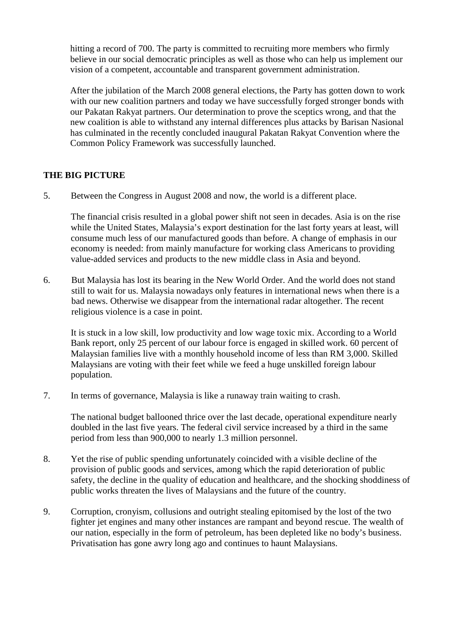hitting a record of 700. The party is committed to recruiting more members who firmly believe in our social democratic principles as well as those who can help us implement our vision of a competent, accountable and transparent government administration.

After the jubilation of the March 2008 general elections, the Party has gotten down to work with our new coalition partners and today we have successfully forged stronger bonds with our Pakatan Rakyat partners. Our determination to prove the sceptics wrong, and that the new coalition is able to withstand any internal differences plus attacks by Barisan Nasional has culminated in the recently concluded inaugural Pakatan Rakyat Convention where the Common Policy Framework was successfully launched.

## **THE BIG PICTURE**

5. Between the Congress in August 2008 and now, the world is a different place.

The financial crisis resulted in a global power shift not seen in decades. Asia is on the rise while the United States, Malaysia's export destination for the last forty years at least, will consume much less of our manufactured goods than before. A change of emphasis in our economy is needed: from mainly manufacture for working class Americans to providing value-added services and products to the new middle class in Asia and beyond.

6. But Malaysia has lost its bearing in the New World Order. And the world does not stand still to wait for us. Malaysia nowadays only features in international news when there is a bad news. Otherwise we disappear from the international radar altogether. The recent religious violence is a case in point.

It is stuck in a low skill, low productivity and low wage toxic mix. According to a World Bank report, only 25 percent of our labour force is engaged in skilled work. 60 percent of Malaysian families live with a monthly household income of less than RM 3,000. Skilled Malaysians are voting with their feet while we feed a huge unskilled foreign labour population.

7. In terms of governance, Malaysia is like a runaway train waiting to crash.

The national budget ballooned thrice over the last decade, operational expenditure nearly doubled in the last five years. The federal civil service increased by a third in the same period from less than 900,000 to nearly 1.3 million personnel.

- 8. Yet the rise of public spending unfortunately coincided with a visible decline of the provision of public goods and services, among which the rapid deterioration of public safety, the decline in the quality of education and healthcare, and the shocking shoddiness of public works threaten the lives of Malaysians and the future of the country.
- 9. Corruption, cronyism, collusions and outright stealing epitomised by the lost of the two fighter jet engines and many other instances are rampant and beyond rescue. The wealth of our nation, especially in the form of petroleum, has been depleted like no body's business. Privatisation has gone awry long ago and continues to haunt Malaysians.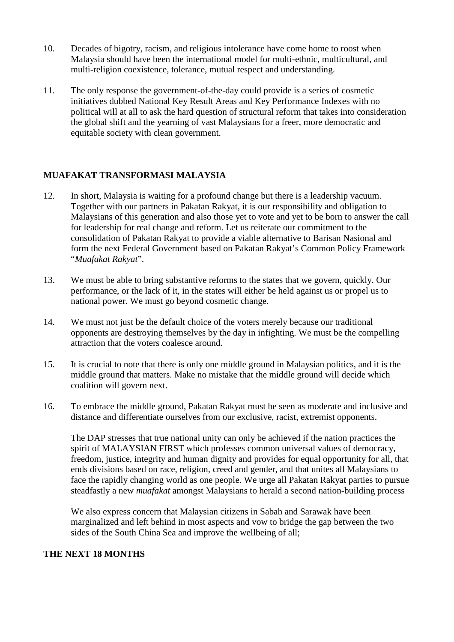- 10. Decades of bigotry, racism, and religious intolerance have come home to roost when Malaysia should have been the international model for multi-ethnic, multicultural, and multi-religion coexistence, tolerance, mutual respect and understanding.
- 11. The only response the government-of-the-day could provide is a series of cosmetic initiatives dubbed National Key Result Areas and Key Performance Indexes with no political will at all to ask the hard question of structural reform that takes into consideration the global shift and the yearning of vast Malaysians for a freer, more democratic and equitable society with clean government.

## **MUAFAKAT TRANSFORMASI MALAYSIA**

- 12. In short, Malaysia is waiting for a profound change but there is a leadership vacuum. Together with our partners in Pakatan Rakyat, it is our responsibility and obligation to Malaysians of this generation and also those yet to vote and yet to be born to answer the call for leadership for real change and reform. Let us reiterate our commitment to the consolidation of Pakatan Rakyat to provide a viable alternative to Barisan Nasional and form the next Federal Government based on Pakatan Rakyat's Common Policy Framework "*Muafakat Rakyat*".
- 13. We must be able to bring substantive reforms to the states that we govern, quickly. Our performance, or the lack of it, in the states will either be held against us or propel us to national power. We must go beyond cosmetic change.
- 14. We must not just be the default choice of the voters merely because our traditional opponents are destroying themselves by the day in infighting. We must be the compelling attraction that the voters coalesce around.
- 15. It is crucial to note that there is only one middle ground in Malaysian politics, and it is the middle ground that matters. Make no mistake that the middle ground will decide which coalition will govern next.
- 16. To embrace the middle ground, Pakatan Rakyat must be seen as moderate and inclusive and distance and differentiate ourselves from our exclusive, racist, extremist opponents.

The DAP stresses that true national unity can only be achieved if the nation practices the spirit of MALAYSIAN FIRST which professes common universal values of democracy, freedom, justice, integrity and human dignity and provides for equal opportunity for all, that ends divisions based on race, religion, creed and gender, and that unites all Malaysians to face the rapidly changing world as one people. We urge all Pakatan Rakyat parties to pursue steadfastly a new *muafakat* amongst Malaysians to herald a second nation-building process

We also express concern that Malaysian citizens in Sabah and Sarawak have been marginalized and left behind in most aspects and vow to bridge the gap between the two sides of the South China Sea and improve the wellbeing of all;

#### **THE NEXT 18 MONTHS**